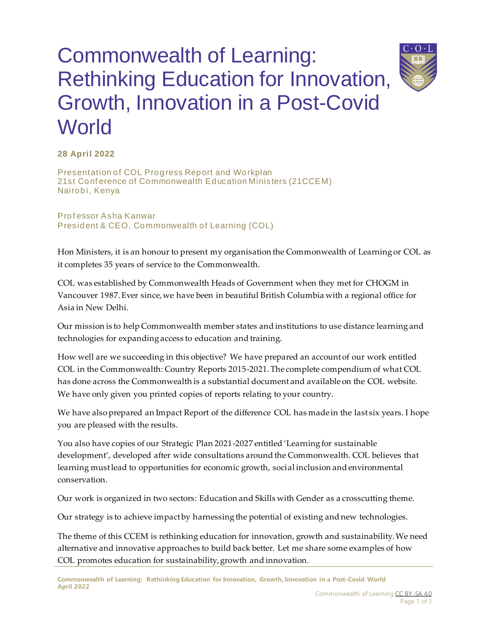## Commonwealth of Learning: Rethinking Education for Innovation, Growth, Innovation in a Post-Covid **World**



**28 April 2022**

Presentation of COL Progress Report and Workplan 21st Conf erence of Commonwealth Education Ministers (21CCEM) Nairobi, Kenya

Prof essor Asha Kanwar President & CEO, Commonwealth of Learning (COL)

Hon Ministers, it is an honour to present my organisation the Commonwealth of Learning or COL as it completes 35 years of service to the Commonwealth.

COL was established by Commonwealth Heads of Government when they met for CHOGM in Vancouver 1987. Ever since, we have been in beautiful British Columbia with a regional office for Asia in New Delhi.

Our mission is to help Commonwealth member states and institutions to use distance learning and technologies for expanding access to education and training.

How well are we succeeding in this objective? We have prepared an account of our work entitled COL in the Commonwealth: Country Reports 2015-2021. The complete compendium of what COL has done across the Commonwealth is a substantial document and available on the COL website. We have only given you printed copies of reports relating to your country.

We have also prepared an Impact Report of the difference COL has made in the last six years. I hope you are pleased with the results.

You also have copies of our Strategic Plan 2021-2027 entitled 'Learning for sustainable development', developed after wide consultations around the Commonwealth. COL believes that learning must lead to opportunities for economic growth, social inclusion and environmental conservation.

Our work is organized in two sectors: Education and Skills with Gender as a crosscutting theme.

Our strategy is to achieve impact by harnessing the potential of existing and new technologies.

The theme of this CCEM is rethinking education for innovation, growth and sustainability. We need alternative and innovative approaches to build back better. Let me share some examples of how COL promotes education for sustainability, growth and innovation.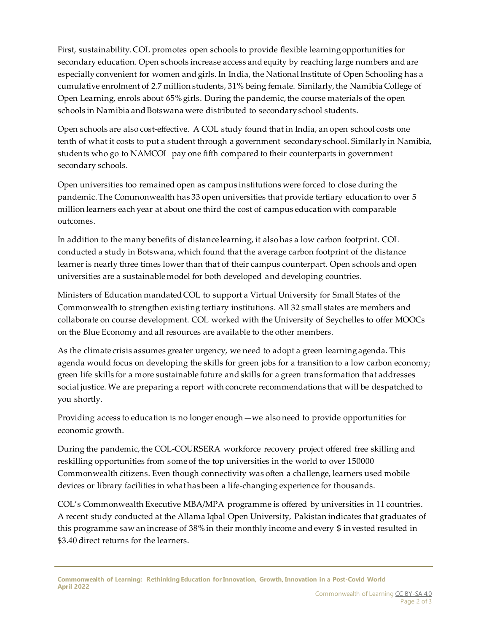First, sustainability. COL promotes open schools to provide flexible learning opportunities for secondary education. Open schools increase access and equity by reaching large numbers and are especially convenient for women and girls. In India, the National Institute of Open Schooling has a cumulative enrolment of 2.7 million students, 31% being female. Similarly,the Namibia College of Open Learning, enrols about 65% girls. During the pandemic, the course materials of the open schools in Namibia and Botswana were distributed to secondary school students.

Open schools are also cost-effective. A COL study found that in India, an open school costs one tenth of what it costs to put a student through a government secondary school. Similarly in Namibia, students who go to NAMCOL pay one fifth compared to their counterparts in government secondary schools.

Open universities too remained open as campus institutions were forced to close during the pandemic. The Commonwealth has 33 open universities that provide tertiary education to over 5 million learners each year at about one third the cost of campus education with comparable outcomes.

In addition to the many benefits of distance learning, it also has a low carbon footprint. COL conducted a study in Botswana, which found that the average carbon footprint of the distance learner is nearly three times lower than that of their campus counterpart. Open schools and open universities are a sustainable model for both developed and developing countries.

Ministers of Education mandated COL to support a Virtual University for Small States of the Commonwealth to strengthen existing tertiary institutions. All 32 small states are members and collaborate on course development. COL worked with the University of Seychelles to offer MOOCs on the Blue Economy and all resources are available to the other members.

As the climate crisis assumes greater urgency, we need to adopt a green learning agenda. This agenda would focus on developing the skills for green jobs for a transition to a low carbon economy; green life skills for a more sustainable future and skills for a green transformation that addresses social justice. We are preparing a report with concrete recommendations that will be despatched to you shortly.

Providing access to education is no longer enough—we also need to provide opportunities for economic growth.

During the pandemic, the COL-COURSERA workforce recovery project offered free skilling and reskilling opportunities from some of the top universities in the world to over 150000 Commonwealth citizens. Even though connectivity was often a challenge, learners used mobile devices or library facilities in what has been a life-changing experience for thousands.

COL's Commonwealth Executive MBA/MPA programme is offered by universities in 11 countries. A recent study conducted at the Allama Iqbal Open University, Pakistan indicates that graduates of this programme saw an increase of 38% in their monthly income and every \$ invested resulted in \$3.40 direct returns for the learners.

**Commonwealth of Learning: Rethinking Education for Innovation, Growth, Innovation in a Post-Covid World April 2022**